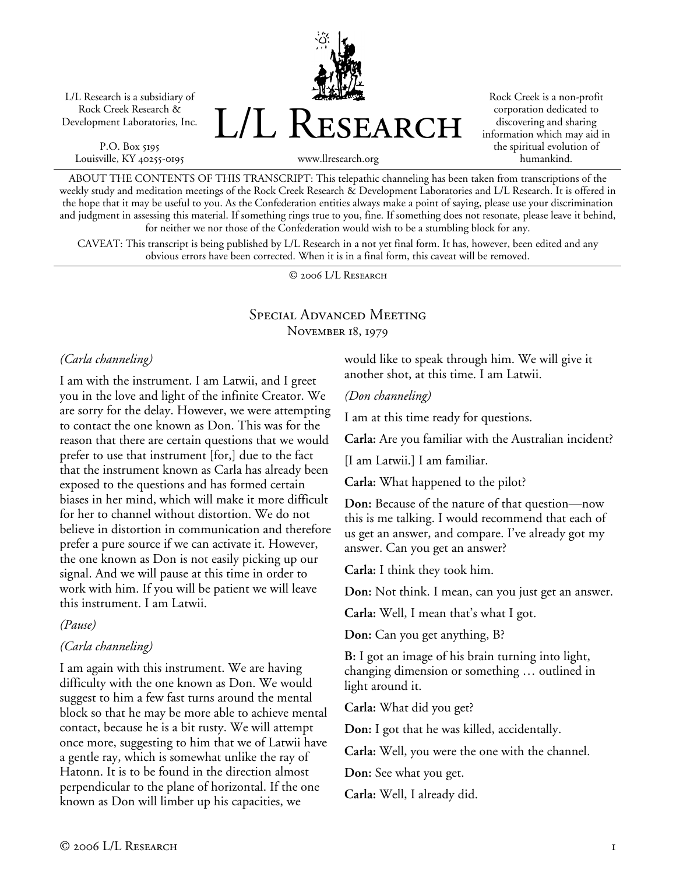L/L Research is a subsidiary of Rock Creek Research & Development Laboratories, Inc.

P.O. Box 5195 Louisville, KY 40255-0195 L/L Research

Rock Creek is a non-profit corporation dedicated to discovering and sharing information which may aid in the spiritual evolution of humankind.

www.llresearch.org

ABOUT THE CONTENTS OF THIS TRANSCRIPT: This telepathic channeling has been taken from transcriptions of the weekly study and meditation meetings of the Rock Creek Research & Development Laboratories and L/L Research. It is offered in the hope that it may be useful to you. As the Confederation entities always make a point of saying, please use your discrimination and judgment in assessing this material. If something rings true to you, fine. If something does not resonate, please leave it behind, for neither we nor those of the Confederation would wish to be a stumbling block for any.

CAVEAT: This transcript is being published by L/L Research in a not yet final form. It has, however, been edited and any obvious errors have been corrected. When it is in a final form, this caveat will be removed.

© 2006 L/L Research

## Special Advanced Meeting November 18, 1979

#### *(Carla channeling)*

I am with the instrument. I am Latwii, and I greet you in the love and light of the infinite Creator. We are sorry for the delay. However, we were attempting to contact the one known as Don. This was for the reason that there are certain questions that we would prefer to use that instrument [for,] due to the fact that the instrument known as Carla has already been exposed to the questions and has formed certain biases in her mind, which will make it more difficult for her to channel without distortion. We do not believe in distortion in communication and therefore prefer a pure source if we can activate it. However, the one known as Don is not easily picking up our signal. And we will pause at this time in order to work with him. If you will be patient we will leave this instrument. I am Latwii.

*(Pause)* 

#### *(Carla channeling)*

I am again with this instrument. We are having difficulty with the one known as Don. We would suggest to him a few fast turns around the mental block so that he may be more able to achieve mental contact, because he is a bit rusty. We will attempt once more, suggesting to him that we of Latwii have a gentle ray, which is somewhat unlike the ray of Hatonn. It is to be found in the direction almost perpendicular to the plane of horizontal. If the one known as Don will limber up his capacities, we

would like to speak through him. We will give it another shot, at this time. I am Latwii.

#### *(Don channeling)*

I am at this time ready for questions.

**Carla:** Are you familiar with the Australian incident?

[I am Latwii.] I am familiar.

**Carla:** What happened to the pilot?

**Don:** Because of the nature of that question—now this is me talking. I would recommend that each of us get an answer, and compare. I've already got my answer. Can you get an answer?

**Carla:** I think they took him.

**Don:** Not think. I mean, can you just get an answer.

**Carla:** Well, I mean that's what I got.

**Don:** Can you get anything, B?

**B:** I got an image of his brain turning into light, changing dimension or something … outlined in light around it.

**Carla:** What did you get?

**Don:** I got that he was killed, accidentally.

**Carla:** Well, you were the one with the channel.

**Don:** See what you get.

**Carla:** Well, I already did.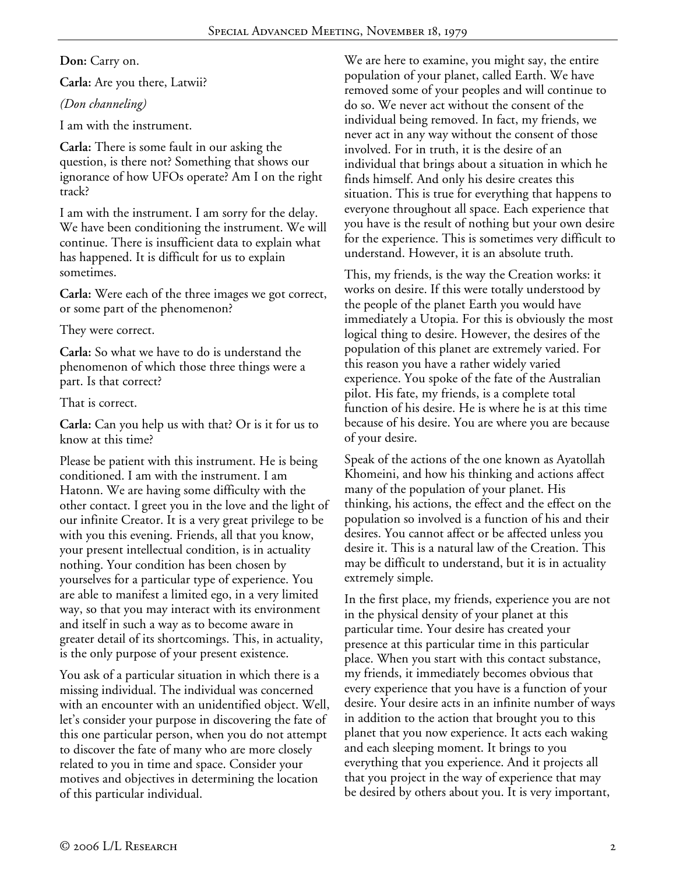## **Don:** Carry on.

**Carla:** Are you there, Latwii?

# *(Don channeling)*

I am with the instrument.

**Carla:** There is some fault in our asking the question, is there not? Something that shows our ignorance of how UFOs operate? Am I on the right track?

I am with the instrument. I am sorry for the delay. We have been conditioning the instrument. We will continue. There is insufficient data to explain what has happened. It is difficult for us to explain sometimes.

**Carla:** Were each of the three images we got correct, or some part of the phenomenon?

## They were correct.

**Carla:** So what we have to do is understand the phenomenon of which those three things were a part. Is that correct?

## That is correct.

**Carla:** Can you help us with that? Or is it for us to know at this time?

Please be patient with this instrument. He is being conditioned. I am with the instrument. I am Hatonn. We are having some difficulty with the other contact. I greet you in the love and the light of our infinite Creator. It is a very great privilege to be with you this evening. Friends, all that you know, your present intellectual condition, is in actuality nothing. Your condition has been chosen by yourselves for a particular type of experience. You are able to manifest a limited ego, in a very limited way, so that you may interact with its environment and itself in such a way as to become aware in greater detail of its shortcomings. This, in actuality, is the only purpose of your present existence.

You ask of a particular situation in which there is a missing individual. The individual was concerned with an encounter with an unidentified object. Well, let's consider your purpose in discovering the fate of this one particular person, when you do not attempt to discover the fate of many who are more closely related to you in time and space. Consider your motives and objectives in determining the location of this particular individual.

We are here to examine, you might say, the entire population of your planet, called Earth. We have removed some of your peoples and will continue to do so. We never act without the consent of the individual being removed. In fact, my friends, we never act in any way without the consent of those involved. For in truth, it is the desire of an individual that brings about a situation in which he finds himself. And only his desire creates this situation. This is true for everything that happens to everyone throughout all space. Each experience that you have is the result of nothing but your own desire for the experience. This is sometimes very difficult to understand. However, it is an absolute truth.

This, my friends, is the way the Creation works: it works on desire. If this were totally understood by the people of the planet Earth you would have immediately a Utopia. For this is obviously the most logical thing to desire. However, the desires of the population of this planet are extremely varied. For this reason you have a rather widely varied experience. You spoke of the fate of the Australian pilot. His fate, my friends, is a complete total function of his desire. He is where he is at this time because of his desire. You are where you are because of your desire.

Speak of the actions of the one known as Ayatollah Khomeini, and how his thinking and actions affect many of the population of your planet. His thinking, his actions, the effect and the effect on the population so involved is a function of his and their desires. You cannot affect or be affected unless you desire it. This is a natural law of the Creation. This may be difficult to understand, but it is in actuality extremely simple.

In the first place, my friends, experience you are not in the physical density of your planet at this particular time. Your desire has created your presence at this particular time in this particular place. When you start with this contact substance, my friends, it immediately becomes obvious that every experience that you have is a function of your desire. Your desire acts in an infinite number of ways in addition to the action that brought you to this planet that you now experience. It acts each waking and each sleeping moment. It brings to you everything that you experience. And it projects all that you project in the way of experience that may be desired by others about you. It is very important,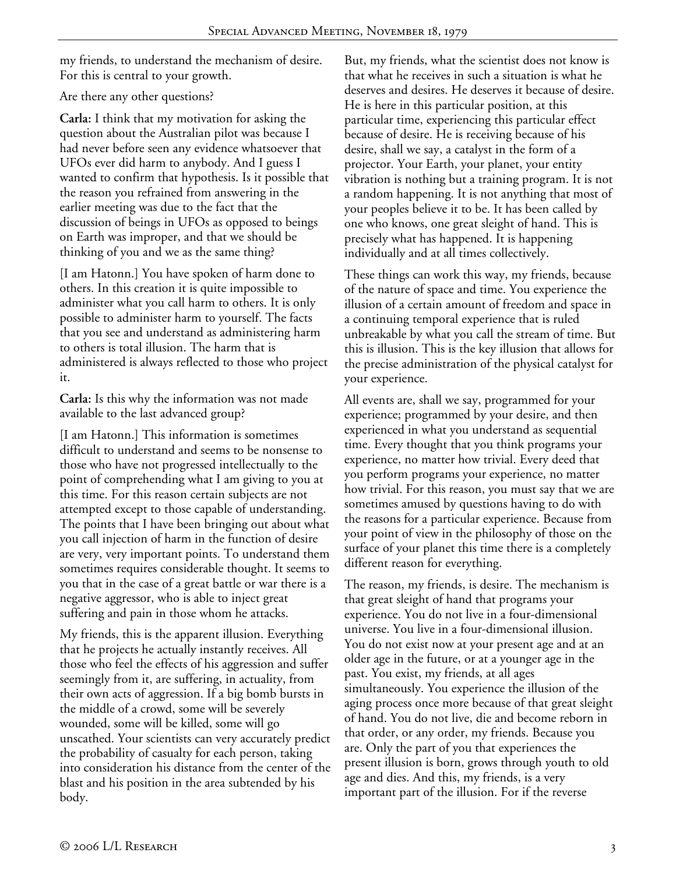my friends, to understand the mechanism of desire. For this is central to your growth.

# Are there any other questions?

**Carla:** I think that my motivation for asking the question about the Australian pilot was because I had never before seen any evidence whatsoever that UFOs ever did harm to anybody. And I guess I wanted to confirm that hypothesis. Is it possible that the reason you refrained from answering in the earlier meeting was due to the fact that the discussion of beings in UFOs as opposed to beings on Earth was improper, and that we should be thinking of you and we as the same thing?

[I am Hatonn.] You have spoken of harm done to others. In this creation it is quite impossible to administer what you call harm to others. It is only possible to administer harm to yourself. The facts that you see and understand as administering harm to others is total illusion. The harm that is administered is always reflected to those who project it.

**Carla:** Is this why the information was not made available to the last advanced group?

[I am Hatonn.] This information is sometimes difficult to understand and seems to be nonsense to those who have not progressed intellectually to the point of comprehending what I am giving to you at this time. For this reason certain subjects are not attempted except to those capable of understanding. The points that I have been bringing out about what you call injection of harm in the function of desire are very, very important points. To understand them sometimes requires considerable thought. It seems to you that in the case of a great battle or war there is a negative aggressor, who is able to inject great suffering and pain in those whom he attacks.

My friends, this is the apparent illusion. Everything that he projects he actually instantly receives. All those who feel the effects of his aggression and suffer seemingly from it, are suffering, in actuality, from their own acts of aggression. If a big bomb bursts in the middle of a crowd, some will be severely wounded, some will be killed, some will go unscathed. Your scientists can very accurately predict the probability of casualty for each person, taking into consideration his distance from the center of the blast and his position in the area subtended by his body.

But, my friends, what the scientist does not know is that what he receives in such a situation is what he deserves and desires. He deserves it because of desire. He is here in this particular position, at this particular time, experiencing this particular effect because of desire. He is receiving because of his desire, shall we say, a catalyst in the form of a projector. Your Earth, your planet, your entity vibration is nothing but a training program. It is not a random happening. It is not anything that most of your peoples believe it to be. It has been called by one who knows, one great sleight of hand. This is precisely what has happened. It is happening individually and at all times collectively.

These things can work this way, my friends, because of the nature of space and time. You experience the illusion of a certain amount of freedom and space in a continuing temporal experience that is ruled unbreakable by what you call the stream of time. But this is illusion. This is the key illusion that allows for the precise administration of the physical catalyst for your experience.

All events are, shall we say, programmed for your experience; programmed by your desire, and then experienced in what you understand as sequential time. Every thought that you think programs your experience, no matter how trivial. Every deed that you perform programs your experience, no matter how trivial. For this reason, you must say that we are sometimes amused by questions having to do with the reasons for a particular experience. Because from your point of view in the philosophy of those on the surface of your planet this time there is a completely different reason for everything.

The reason, my friends, is desire. The mechanism is that great sleight of hand that programs your experience. You do not live in a four-dimensional universe. You live in a four-dimensional illusion. You do not exist now at your present age and at an older age in the future, or at a younger age in the past. You exist, my friends, at all ages simultaneously. You experience the illusion of the aging process once more because of that great sleight of hand. You do not live, die and become reborn in that order, or any order, my friends. Because you are. Only the part of you that experiences the present illusion is born, grows through youth to old age and dies. And this, my friends, is a very important part of the illusion. For if the reverse